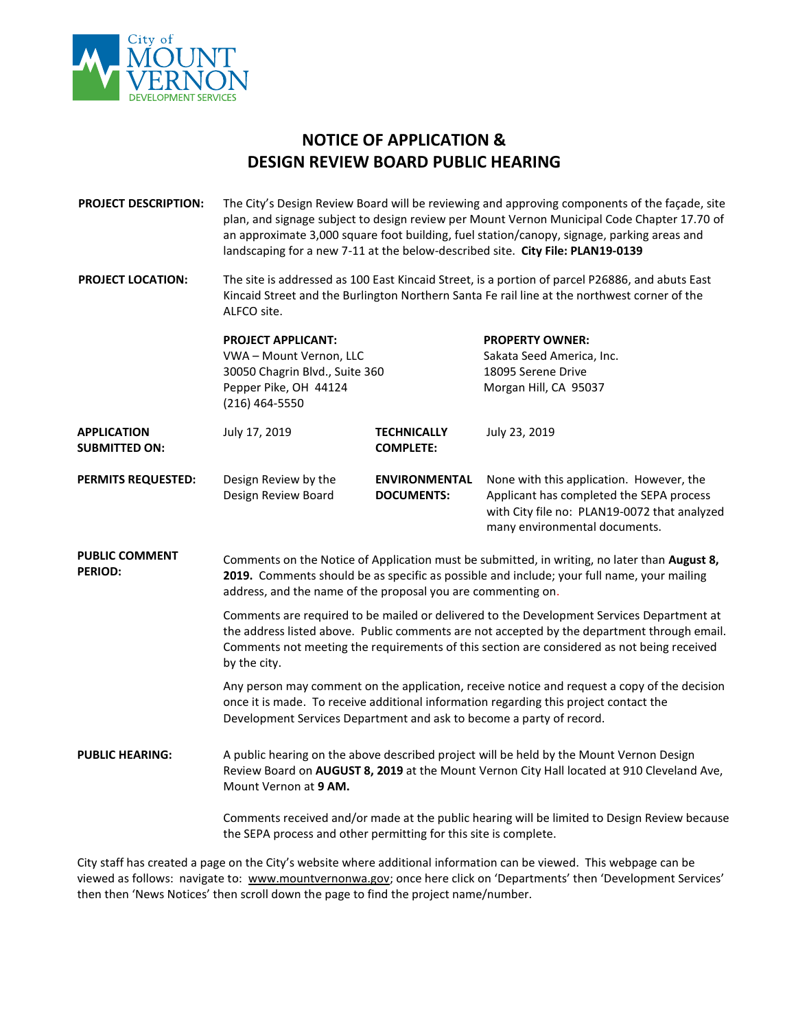

## **NOTICE OF APPLICATION & DESIGN REVIEW BOARD PUBLIC HEARING**

**PROJECT DESCRIPTION:** The City's Design Review Board will be reviewing and approving components of the façade, site plan, and signage subject to design review per Mount Vernon Municipal Code Chapter 17.70 of an approximate 3,000 square foot building, fuel station/canopy, signage, parking areas and landscaping for a new 7-11 at the below-described site. **City File: PLAN19-0139**

**PROJECT LOCATION:** The site is addressed as 100 East Kincaid Street, is a portion of parcel P26886, and abuts East Kincaid Street and the Burlington Northern Santa Fe rail line at the northwest corner of the ALFCO site.

|                                            | <b>PROJECT APPLICANT:</b><br>VWA - Mount Vernon, LLC<br>30050 Chagrin Blvd., Suite 360<br>Pepper Pike, OH 44124<br>(216) 464-5550 |                                           | <b>PROPERTY OWNER:</b><br>Sakata Seed America, Inc.<br>18095 Serene Drive<br>Morgan Hill, CA 95037                                                                    |
|--------------------------------------------|-----------------------------------------------------------------------------------------------------------------------------------|-------------------------------------------|-----------------------------------------------------------------------------------------------------------------------------------------------------------------------|
| <b>APPLICATION</b><br><b>SUBMITTED ON:</b> | July 17, 2019                                                                                                                     | <b>TECHNICALLY</b><br><b>COMPLETE:</b>    | July 23, 2019                                                                                                                                                         |
| <b>PERMITS REQUESTED:</b>                  | Design Review by the<br>Design Review Board                                                                                       | <b>ENVIRONMENTAL</b><br><b>DOCUMENTS:</b> | None with this application. However, the<br>Applicant has completed the SEPA process<br>with City file no: PLAN19-0072 that analyzed<br>many environmental documents. |

**PUBLIC COMMENT PERIOD:** Comments on the Notice of Application must be submitted, in writing, no later than **August 8, 2019.** Comments should be as specific as possible and include; your full name, your mailing address, and the name of the proposal you are commenting on.

> Comments are required to be mailed or delivered to the Development Services Department at the address listed above. Public comments are not accepted by the department through email. Comments not meeting the requirements of this section are considered as not being received by the city.

> Any person may comment on the application, receive notice and request a copy of the decision once it is made. To receive additional information regarding this project contact the Development Services Department and ask to become a party of record.

**PUBLIC HEARING:** A public hearing on the above described project will be held by the Mount Vernon Design Review Board on **AUGUST 8, 2019** at the Mount Vernon City Hall located at 910 Cleveland Ave, Mount Vernon at **9 AM.**

> Comments received and/or made at the public hearing will be limited to Design Review because the SEPA process and other permitting for this site is complete.

City staff has created a page on the City's website where additional information can be viewed. This webpage can be viewed as follows: navigate to: [www.mountvernonwa.gov](http://www.mountvernonwa.gov/); once here click on 'Departments' then 'Development Services' then then 'News Notices' then scroll down the page to find the project name/number.